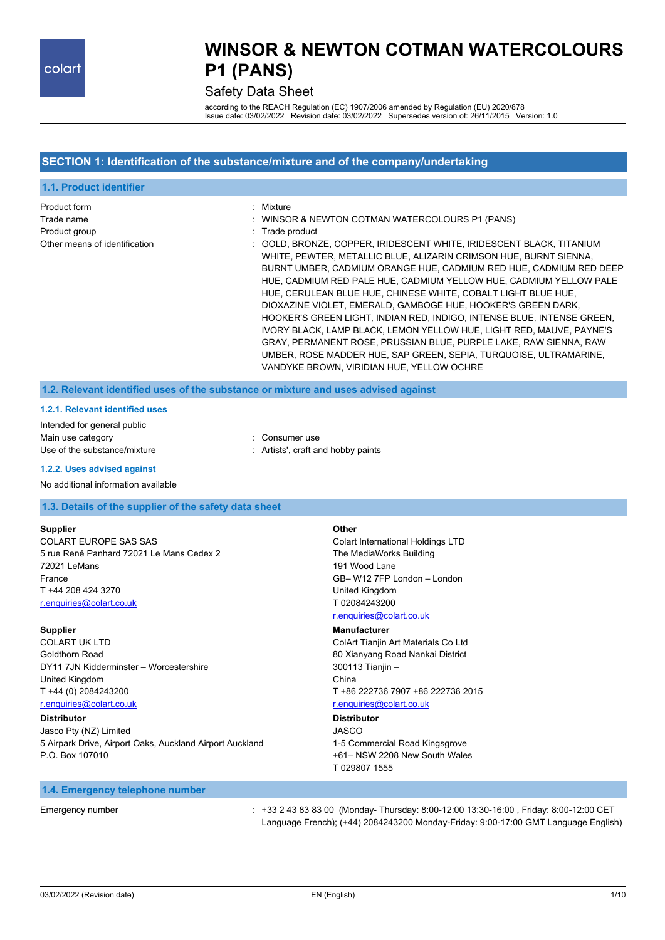### Safety Data Sheet

according to the REACH Regulation (EC) 1907/2006 amended by Regulation (EU) 2020/878 Issue date: 03/02/2022 Revision date: 03/02/2022 Supersedes version of: 26/11/2015 Version: 1.0

## **SECTION 1: Identification of the substance/mixture and of the company/undertaking**

| 1.1. Product identifier                                                      |                                                                                                                                                                                                                                                                                                                                                                                                                                                                                                                                                                                                                                                                                                                                                                                                                                                    |
|------------------------------------------------------------------------------|----------------------------------------------------------------------------------------------------------------------------------------------------------------------------------------------------------------------------------------------------------------------------------------------------------------------------------------------------------------------------------------------------------------------------------------------------------------------------------------------------------------------------------------------------------------------------------------------------------------------------------------------------------------------------------------------------------------------------------------------------------------------------------------------------------------------------------------------------|
| Product form<br>Trade name<br>Product group<br>Other means of identification | : Mixture<br>: WINSOR & NEWTON COTMAN WATERCOLOURS P1 (PANS)<br>: Trade product<br>: GOLD, BRONZE, COPPER, IRIDESCENT WHITE, IRIDESCENT BLACK, TITANIUM<br>WHITE, PEWTER, METALLIC BLUE, ALIZARIN CRIMSON HUE, BURNT SIENNA,<br>BURNT UMBER, CADMIUM ORANGE HUE, CADMIUM RED HUE, CADMIUM RED DEEP<br>HUE, CADMIUM RED PALE HUE, CADMIUM YELLOW HUE, CADMIUM YELLOW PALE<br>HUE, CERULEAN BLUE HUE, CHINESE WHITE, COBALT LIGHT BLUE HUE,<br>DIOXAZINE VIOLET, EMERALD, GAMBOGE HUE, HOOKER'S GREEN DARK,<br>HOOKER'S GREEN LIGHT. INDIAN RED. INDIGO. INTENSE BLUE. INTENSE GREEN.<br>IVORY BLACK, LAMP BLACK, LEMON YELLOW HUE, LIGHT RED, MAUVE, PAYNE'S<br>GRAY, PERMANENT ROSE, PRUSSIAN BLUE, PURPLE LAKE, RAW SIENNA, RAW<br>UMBER, ROSE MADDER HUE, SAP GREEN, SEPIA, TURQUOISE, ULTRAMARINE,<br>VANDYKE BROWN, VIRIDIAN HUE, YELLOW OCHRE |

**1.2. Relevant identified uses of the substance or mixture and uses advised against**

#### **1.2.1. Relevant identified uses**

Intended for general public Main use category **Example 20** and 20 and 20 and 20 and 20 and 20 and 20 and 20 and 20 and 20 and 20 and 20 and 20 and 20 and 20 and 20 and 20 and 20 and 20 and 20 and 20 and 20 and 20 and 20 and 20 and 20 and 20 and 20 an Use of the substance/mixture in the substance in the set of the substance/mixture in the set of the substance of the substance of the set of the set of the set of the set of the set of the set of the set of the set of the

#### **1.2.2. Uses advised against**

#### No additional information available

#### **1.3. Details of the supplier of the safety data sheet**

#### **Supplier**

COLART EUROPE SAS SAS 5 rue René Panhard 72021 Le Mans Cedex 2 72021 LeMans France T +44 208 424 3270 [r.enquiries@colart.co.uk](mailto:r.enquiries@colart.co.uk)

#### **Supplier**

COLART UK LTD Goldthorn Road DY11 7JN Kidderminster – Worcestershire United Kingdom T +44 (0) 2084243200 [r.enquiries@colart.co.uk](mailto:r.enquiries@colart.co.uk)

#### **Distributor**

Jasco Pty (NZ) Limited 5 Airpark Drive, Airport Oaks, Auckland Airport Auckland P.O. Box 107010

#### **Other**

Colart International Holdings LTD The MediaWorks Building 191 Wood Lane GB– W12 7FP London – London United Kingdom T 02084243200

### [r.enquiries@colart.co.uk](mailto:r.enquiries@colart.co.uk)

**Manufacturer** ColArt Tianjin Art Materials Co Ltd 80 Xianyang Road Nankai District 300113 Tianjin – China T +86 222736 7907 +86 222736 2015

#### [r.enquiries@colart.co.uk](mailto:r.enquiries@colart.co.uk)

#### **Distributor** JASCO

1-5 Commercial Road Kingsgrove +61– NSW 2208 New South Wales T 029807 1555

#### **1.4. Emergency telephone number**

Emergency number : +33 2 43 83 83 00 (Monday- Thursday: 8:00-12:00 13:30-16:00 , Friday: 8:00-12:00 CET Language French); (+44) 2084243200 Monday-Friday: 9:00-17:00 GMT Language English)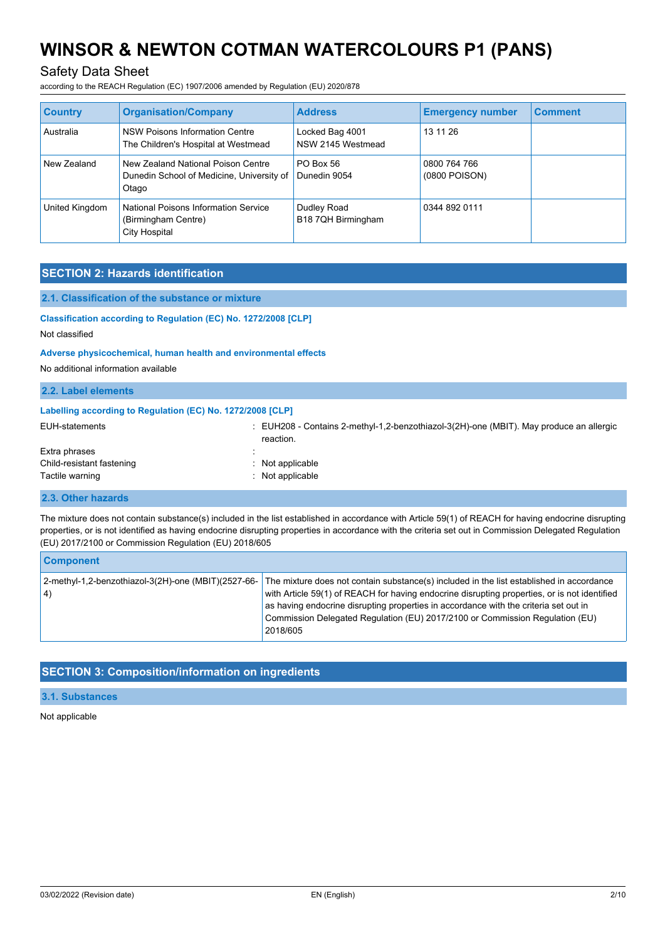## Safety Data Sheet

according to the REACH Regulation (EC) 1907/2006 amended by Regulation (EU) 2020/878

| <b>Country</b> | <b>Organisation/Company</b>                                                              | <b>Address</b>                       | <b>Emergency number</b>       | <b>Comment</b> |
|----------------|------------------------------------------------------------------------------------------|--------------------------------------|-------------------------------|----------------|
| Australia      | NSW Poisons Information Centre<br>The Children's Hospital at Westmead                    | Locked Bag 4001<br>NSW 2145 Westmead | 13 11 26                      |                |
| New Zealand    | New Zealand National Poison Centre<br>Dunedin School of Medicine, University of<br>Otago | PO Box 56<br>Dunedin 9054            | 0800 764 766<br>(0800 POISON) |                |
| United Kingdom | National Poisons Information Service<br>(Birmingham Centre)<br><b>City Hospital</b>      | Dudley Road<br>B18 7QH Birmingham    | 0344 892 0111                 |                |

### **SECTION 2: Hazards identification**

#### **2.1. Classification of the substance or mixture**

#### **Classification according to Regulation (EC) No. 1272/2008 [CLP]**

Not classified

#### **Adverse physicochemical, human health and environmental effects**

No additional information available

#### **2.2. Label elements**

### **Labelling according to Regulation (EC) No. 1272/2008 [CLP]**

| EUH-statements            | $\therefore$ EUH208 - Contains 2-methyl-1.2-benzothiazol-3(2H)-one (MBIT). May produce an allergic<br>reaction. |
|---------------------------|-----------------------------------------------------------------------------------------------------------------|
| Extra phrases             |                                                                                                                 |
| Child-resistant fastening | $\therefore$ Not applicable                                                                                     |
| Tactile warning           | $\therefore$ Not applicable                                                                                     |

### **2.3. Other hazards**

The mixture does not contain substance(s) included in the list established in accordance with Article 59(1) of REACH for having endocrine disrupting properties, or is not identified as having endocrine disrupting properties in accordance with the criteria set out in Commission Delegated Regulation (EU) 2017/2100 or Commission Regulation (EU) 2018/605

| <b>Component</b>                                              |                                                                                                                                                                                                                                                                                                                                                                              |
|---------------------------------------------------------------|------------------------------------------------------------------------------------------------------------------------------------------------------------------------------------------------------------------------------------------------------------------------------------------------------------------------------------------------------------------------------|
| $2$ -methyl-1,2-benzothiazol-3(2H)-one (MBIT)(2527-66-<br> 4) | The mixture does not contain substance(s) included in the list established in accordance<br>with Article 59(1) of REACH for having endocrine disrupting properties, or is not identified<br>as having endocrine disrupting properties in accordance with the criteria set out in<br>Commission Delegated Regulation (EU) 2017/2100 or Commission Regulation (EU)<br>2018/605 |

### **SECTION 3: Composition/information on ingredients**

#### **3.1. Substances**

Not applicable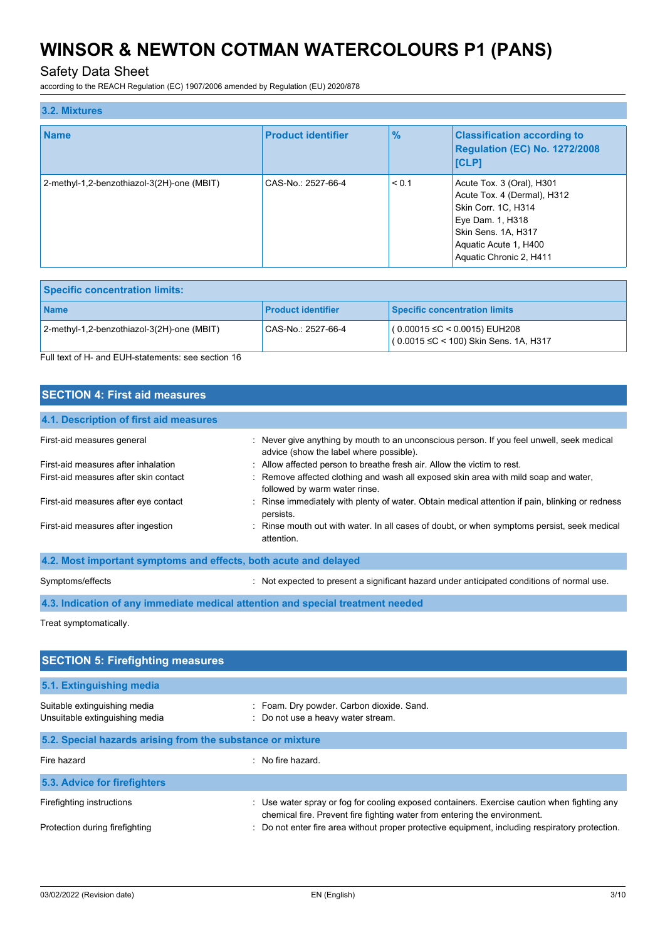## Safety Data Sheet

according to the REACH Regulation (EC) 1907/2006 amended by Regulation (EU) 2020/878

| 3.2. Mixtures                              |                           |               |                                                                                                                                                                                |
|--------------------------------------------|---------------------------|---------------|--------------------------------------------------------------------------------------------------------------------------------------------------------------------------------|
| <b>Name</b>                                | <b>Product identifier</b> | $\frac{9}{6}$ | <b>Classification according to</b><br><b>Regulation (EC) No. 1272/2008</b><br><b>ICLP1</b>                                                                                     |
| 2-methyl-1,2-benzothiazol-3(2H)-one (MBIT) | CAS-No.: 2527-66-4        | < 0.1         | Acute Tox. 3 (Oral), H301<br>Acute Tox. 4 (Dermal), H312<br>Skin Corr. 1C, H314<br>Eye Dam. 1, H318<br>Skin Sens. 1A, H317<br>Aquatic Acute 1, H400<br>Aquatic Chronic 2, H411 |

| <b>Specific concentration limits:</b>         |                           |                                                                              |  |
|-----------------------------------------------|---------------------------|------------------------------------------------------------------------------|--|
| <b>Name</b>                                   | <b>Product identifier</b> | Specific concentration limits                                                |  |
| $2$ -methyl-1,2-benzothiazol-3(2H)-one (MBIT) | CAS-No.: 2527-66-4        | ( 0.00015 ≤C < 0.0015) EUH208<br>$(0.0015 \leq C$ < 100) Skin Sens. 1A, H317 |  |

Full text of H- and EUH-statements: see section 16

## **SECTION 4: First aid measures**

| : Never give anything by mouth to an unconscious person. If you feel unwell, seek medical<br>advice (show the label where possible). |
|--------------------------------------------------------------------------------------------------------------------------------------|
| : Allow affected person to breathe fresh air. Allow the victim to rest.                                                              |
| : Remove affected clothing and wash all exposed skin area with mild soap and water,<br>followed by warm water rinse.                 |
| Rinse immediately with plenty of water. Obtain medical attention if pain, blinking or redness<br>persists.                           |
| : Rinse mouth out with water. In all cases of doubt, or when symptoms persist, seek medical<br>attention.                            |
| 4.2. Most important symptoms and effects, both acute and delayed                                                                     |
|                                                                                                                                      |

Symptoms/effects : Not expected to present a significant hazard under anticipated conditions of normal use.

**4.3. Indication of any immediate medical attention and special treatment needed**

Treat symptomatically.

| <b>SECTION 5: Firefighting measures</b>                        |                                                                                                                                                                          |
|----------------------------------------------------------------|--------------------------------------------------------------------------------------------------------------------------------------------------------------------------|
| 5.1. Extinguishing media                                       |                                                                                                                                                                          |
| Suitable extinguishing media<br>Unsuitable extinguishing media | : Foam. Dry powder. Carbon dioxide. Sand.<br>: Do not use a heavy water stream.                                                                                          |
| 5.2. Special hazards arising from the substance or mixture     |                                                                                                                                                                          |
| Fire hazard                                                    | No fire hazard                                                                                                                                                           |
| 5.3. Advice for firefighters                                   |                                                                                                                                                                          |
| Firefighting instructions                                      | : Use water spray or fog for cooling exposed containers. Exercise caution when fighting any<br>chemical fire. Prevent fire fighting water from entering the environment. |
| Protection during firefighting                                 | : Do not enter fire area without proper protective equipment, including respiratory protection.                                                                          |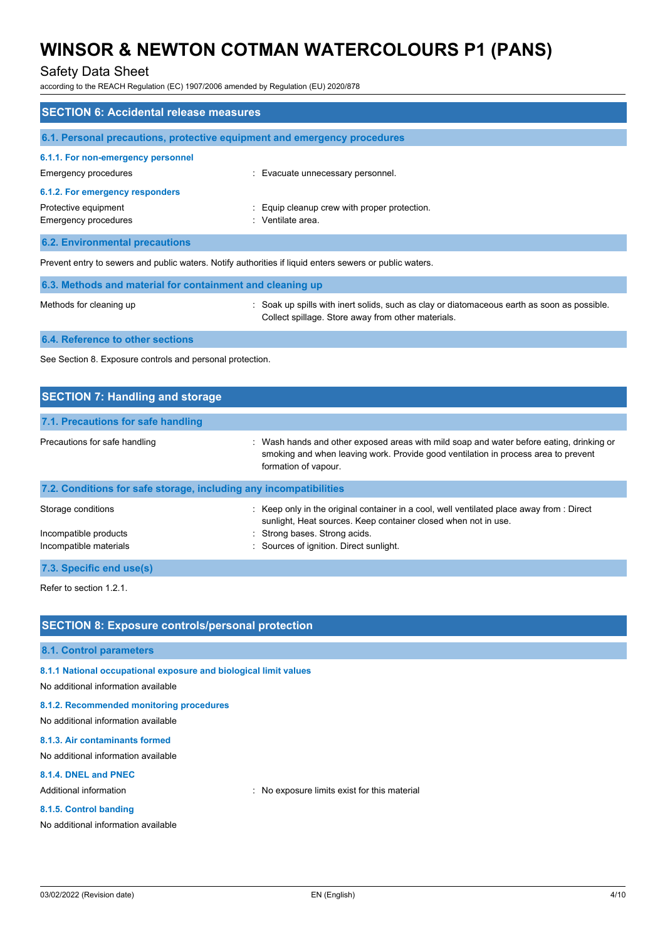## Safety Data Sheet

according to the REACH Regulation (EC) 1907/2006 amended by Regulation (EU) 2020/878

| <b>SECTION 6: Accidental release measures</b>                                          |                                                                                                         |  |
|----------------------------------------------------------------------------------------|---------------------------------------------------------------------------------------------------------|--|
|                                                                                        | 6.1. Personal precautions, protective equipment and emergency procedures                                |  |
| 6.1.1. For non-emergency personnel<br>Emergency procedures                             | : Evacuate unnecessary personnel.                                                                       |  |
| 6.1.2. For emergency responders<br>Protective equipment<br><b>Emergency procedures</b> | : Equip cleanup crew with proper protection.<br>: Ventilate area.                                       |  |
| <b>6.2. Environmental precautions</b>                                                  |                                                                                                         |  |
|                                                                                        | Prevent entry to sewers and public waters. Notify authorities if liquid enters sewers or public waters. |  |

| 6.3. Methods and material for containment and cleaning up |                                                                                                                                                   |  |
|-----------------------------------------------------------|---------------------------------------------------------------------------------------------------------------------------------------------------|--|
| Methods for cleaning up                                   | : Soak up spills with inert solids, such as clay or diatomaceous earth as soon as possible.<br>Collect spillage. Store away from other materials. |  |

**6.4. Reference to other sections**

See Section 8. Exposure controls and personal protection.

| <b>SECTION 7: Handling and storage</b>                            |                                                                                                                                                                                                        |
|-------------------------------------------------------------------|--------------------------------------------------------------------------------------------------------------------------------------------------------------------------------------------------------|
| 7.1. Precautions for safe handling                                |                                                                                                                                                                                                        |
| Precautions for safe handling                                     | : Wash hands and other exposed areas with mild soap and water before eating, drinking or<br>smoking and when leaving work. Provide good ventilation in process area to prevent<br>formation of vapour. |
| 7.2. Conditions for safe storage, including any incompatibilities |                                                                                                                                                                                                        |
| Storage conditions                                                | : Keep only in the original container in a cool, well ventilated place away from : Direct<br>sunlight, Heat sources. Keep container closed when not in use.                                            |
| Incompatible products                                             | : Strong bases. Strong acids.                                                                                                                                                                          |
| Incompatible materials                                            | : Sources of ignition. Direct sunlight.                                                                                                                                                                |
| 7.3. Specific end use(s)                                          |                                                                                                                                                                                                        |

Refer to section 1.2.1.

### **SECTION 8: Exposure controls/personal protection**

#### **8.1. Control parameters**

**8.1.1 National occupational exposure and biological limit values**

No additional information available

#### **8.1.2. Recommended monitoring procedures**

No additional information available

## **8.1.3. Air contaminants formed**

No additional information available

#### **8.1.4. DNEL and PNEC**

Additional information **interest in the exposure limits exist for this material** 

#### **8.1.5. Control banding**

No additional information available

03/02/2022 (Revision date) EN (English) 4/10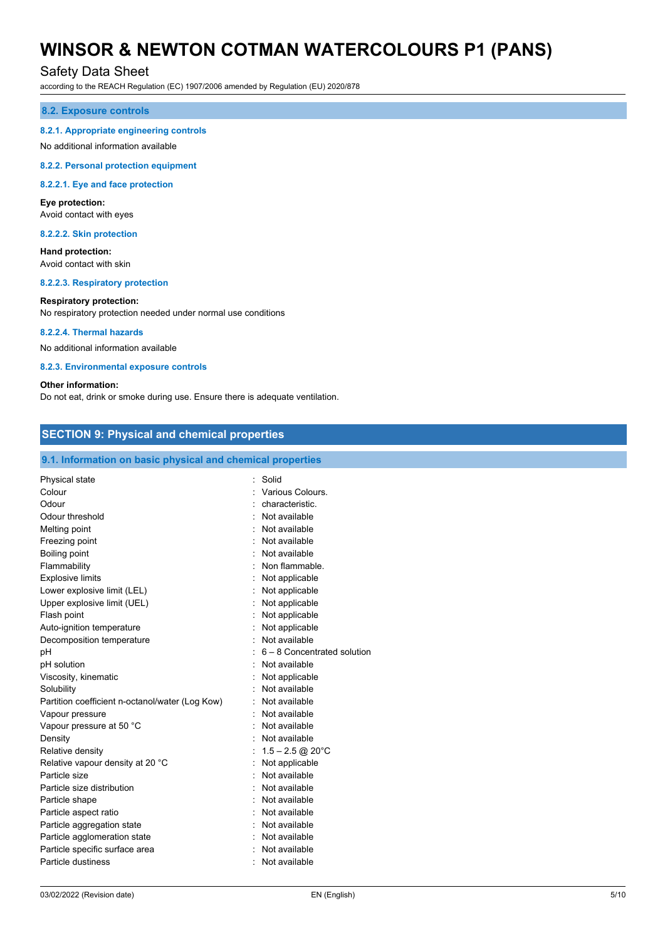## Safety Data Sheet

according to the REACH Regulation (EC) 1907/2006 amended by Regulation (EU) 2020/878

#### **8.2. Exposure controls**

#### **8.2.1. Appropriate engineering controls**

#### No additional information available

**8.2.2. Personal protection equipment**

#### **8.2.2.1. Eye and face protection**

### **Eye protection:**

Avoid contact with eyes

#### **8.2.2.2. Skin protection**

**Hand protection:** Avoid contact with skin

**8.2.2.3. Respiratory protection**

#### **Respiratory protection:**

No respiratory protection needed under normal use conditions

#### **8.2.2.4. Thermal hazards**

No additional information available

#### **8.2.3. Environmental exposure controls**

#### **Other information:**

Do not eat, drink or smoke during use. Ensure there is adequate ventilation.

## **SECTION 9: Physical and chemical properties**

#### **9.1. Information on basic physical and chemical properties**

| Physical state                                  |   | Solid                         |
|-------------------------------------------------|---|-------------------------------|
| Colour                                          |   | Various Colours.              |
| Odour                                           |   | characteristic.               |
| Odour threshold                                 |   | Not available                 |
| Melting point                                   |   | Not available                 |
| Freezing point                                  |   | Not available                 |
| Boiling point                                   |   | Not available                 |
| Flammability                                    |   | Non flammable.                |
| <b>Explosive limits</b>                         |   | Not applicable                |
| Lower explosive limit (LEL)                     |   | Not applicable                |
| Upper explosive limit (UEL)                     |   | : Not applicable              |
| Flash point                                     |   | Not applicable                |
| Auto-ignition temperature                       |   | Not applicable                |
| Decomposition temperature                       |   | Not available                 |
| рH                                              |   | $6 - 8$ Concentrated solution |
| pH solution                                     |   | : Not available               |
| Viscosity, kinematic                            |   | Not applicable                |
| Solubility                                      |   | Not available                 |
| Partition coefficient n-octanol/water (Log Kow) | ÷ | Not available                 |
| Vapour pressure                                 |   | Not available                 |
| Vapour pressure at 50 °C                        |   | Not available                 |
| Density                                         |   | Not available                 |
| Relative density                                |   | $1.5 - 2.5$ @ 20 °C           |
| Relative vapour density at 20 °C                |   | Not applicable                |
| Particle size                                   |   | Not available                 |
| Particle size distribution                      |   | Not available                 |
| Particle shape                                  |   | Not available                 |
| Particle aspect ratio                           |   | Not available                 |
| Particle aggregation state                      |   | Not available                 |
| Particle agglomeration state                    |   | Not available                 |
| Particle specific surface area                  |   | Not available                 |
| Particle dustiness                              |   | Not available                 |
|                                                 |   |                               |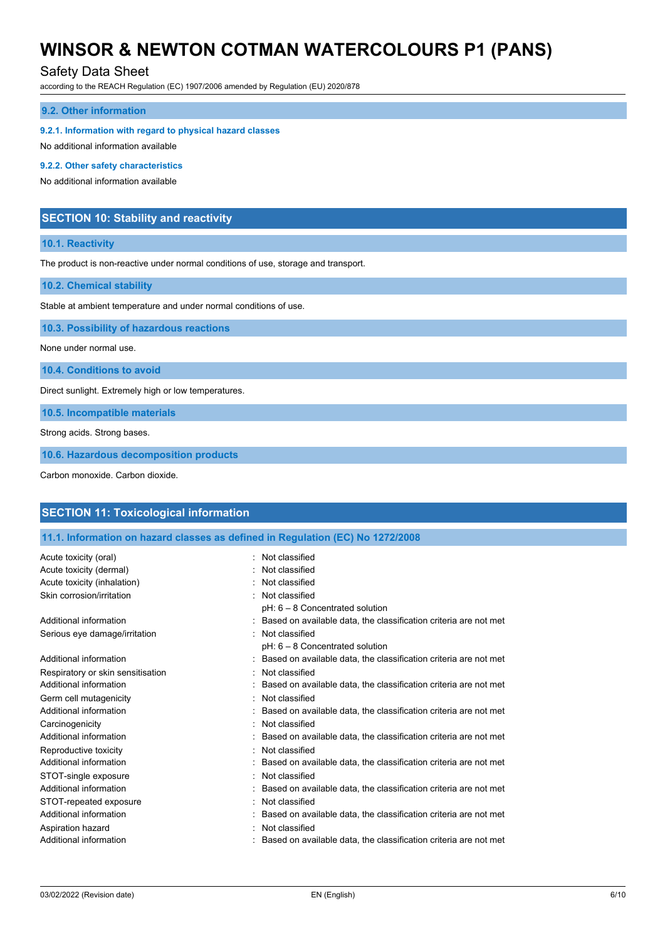## Safety Data Sheet

according to the REACH Regulation (EC) 1907/2006 amended by Regulation (EU) 2020/878

#### **9.2. Other information**

**9.2.1. Information with regard to physical hazard classes**

No additional information available

**9.2.2. Other safety characteristics**

No additional information available

## **SECTION 10: Stability and reactivity**

#### **10.1. Reactivity**

The product is non-reactive under normal conditions of use, storage and transport.

**10.2. Chemical stability**

Stable at ambient temperature and under normal conditions of use.

**10.3. Possibility of hazardous reactions**

None under normal use.

**10.4. Conditions to avoid**

Direct sunlight. Extremely high or low temperatures.

**10.5. Incompatible materials**

Strong acids. Strong bases.

**10.6. Hazardous decomposition products**

Carbon monoxide. Carbon dioxide.

## **SECTION 11: Toxicological information**

**11.1. Information on hazard classes as defined in Regulation (EC) No 1272/2008**

| Acute toxicity (oral)             | Not classified                                                     |
|-----------------------------------|--------------------------------------------------------------------|
| Acute toxicity (dermal)           | Not classified                                                     |
| Acute toxicity (inhalation)       | Not classified                                                     |
| Skin corrosion/irritation         | Not classified                                                     |
|                                   | $pH: 6 - 8$ Concentrated solution                                  |
| Additional information            | : Based on available data, the classification criteria are not met |
| Serious eye damage/irritation     | Not classified                                                     |
|                                   | $pH: 6 - 8$ Concentrated solution                                  |
| Additional information            | : Based on available data, the classification criteria are not met |
| Respiratory or skin sensitisation | Not classified                                                     |
| Additional information            | Based on available data, the classification criteria are not met   |
| Germ cell mutagenicity            | Not classified                                                     |
| Additional information            | Based on available data, the classification criteria are not met   |
| Carcinogenicity                   | Not classified                                                     |
| Additional information            | Based on available data, the classification criteria are not met   |
| Reproductive toxicity             | Not classified                                                     |
| Additional information            | Based on available data, the classification criteria are not met   |
| STOT-single exposure              | Not classified                                                     |
| Additional information            | Based on available data, the classification criteria are not met   |
| STOT-repeated exposure            | Not classified                                                     |
| Additional information            | Based on available data, the classification criteria are not met   |
| Aspiration hazard                 | Not classified                                                     |
| Additional information            | Based on available data, the classification criteria are not met   |
|                                   |                                                                    |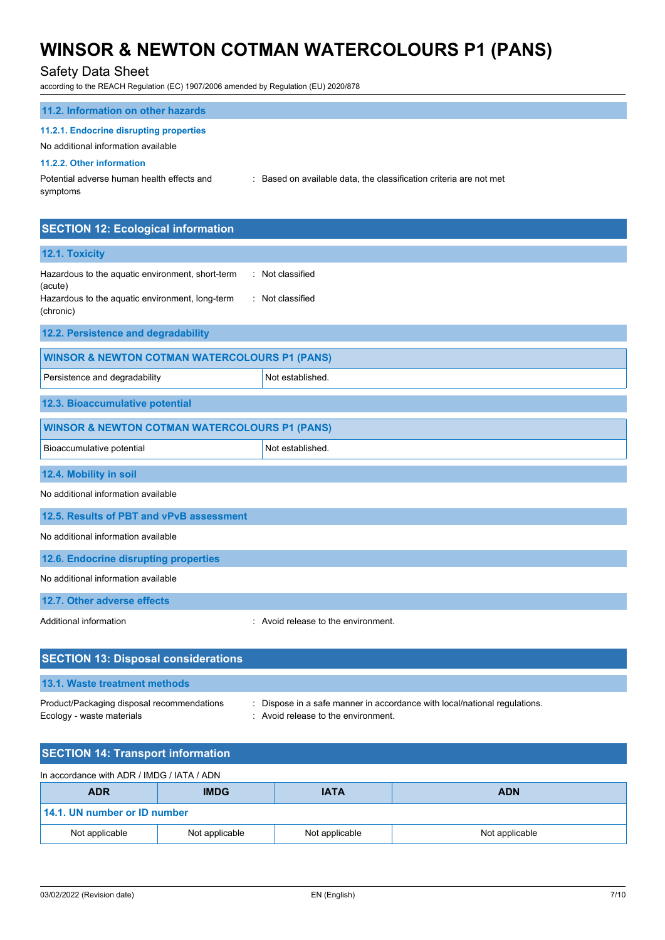## Safety Data Sheet

according to the REACH Regulation (EC) 1907/2006 amended by Regulation (EU) 2020/878

| according to the REACH Regulation (EO) Toon/2000 amended by Regulation (EO) 2020/01 o |                                                                    |  |
|---------------------------------------------------------------------------------------|--------------------------------------------------------------------|--|
| 11.2. Information on other hazards                                                    |                                                                    |  |
| 11.2.1. Endocrine disrupting properties                                               |                                                                    |  |
| No additional information available                                                   |                                                                    |  |
| 11.2.2. Other information                                                             |                                                                    |  |
| Potential adverse human health effects and<br>symptoms                                | : Based on available data, the classification criteria are not met |  |
| <b>SECTION 12: Ecological information</b>                                             |                                                                    |  |
| 12.1. Toxicity                                                                        |                                                                    |  |
| Hazardous to the aquatic environment, short-term<br>(acute)                           | : Not classified                                                   |  |
| Hazardous to the aquatic environment, long-term<br>(chronic)                          | : Not classified                                                   |  |
| 12.2. Persistence and degradability                                                   |                                                                    |  |
| <b>WINSOR &amp; NEWTON COTMAN WATERCOLOURS P1 (PANS)</b>                              |                                                                    |  |
| Persistence and degradability                                                         | Not established.                                                   |  |

**12.3. Bioaccumulative potential**

| <b>WINSOR &amp; NEWTON COTMAN WATERCOLOURS P1 (PANS)</b> |                  |
|----------------------------------------------------------|------------------|
| Bioaccumulative potential                                | Not established. |
|                                                          |                  |

**12.4. Mobility in soil**

No additional information available

**12.5. Results of PBT and vPvB assessment**

No additional information available

**12.6. Endocrine disrupting properties**

No additional information available

**12.7. Other adverse effects**

Additional information : Avoid release to the environment.

| <b>SECTION 13: Disposal considerations</b>                              |                                                                                                                  |
|-------------------------------------------------------------------------|------------------------------------------------------------------------------------------------------------------|
| 13.1. Waste treatment methods                                           |                                                                                                                  |
| Product/Packaging disposal recommendations<br>Ecology - waste materials | : Dispose in a safe manner in accordance with local/national regulations.<br>: Avoid release to the environment. |

| <b>SECTION 14: Transport information</b>   |                |                |                |
|--------------------------------------------|----------------|----------------|----------------|
| In accordance with ADR / IMDG / IATA / ADN |                |                |                |
| <b>ADR</b>                                 | <b>IMDG</b>    | <b>IATA</b>    | <b>ADN</b>     |
| 14.1. UN number or ID number               |                |                |                |
| Not applicable                             | Not applicable | Not applicable | Not applicable |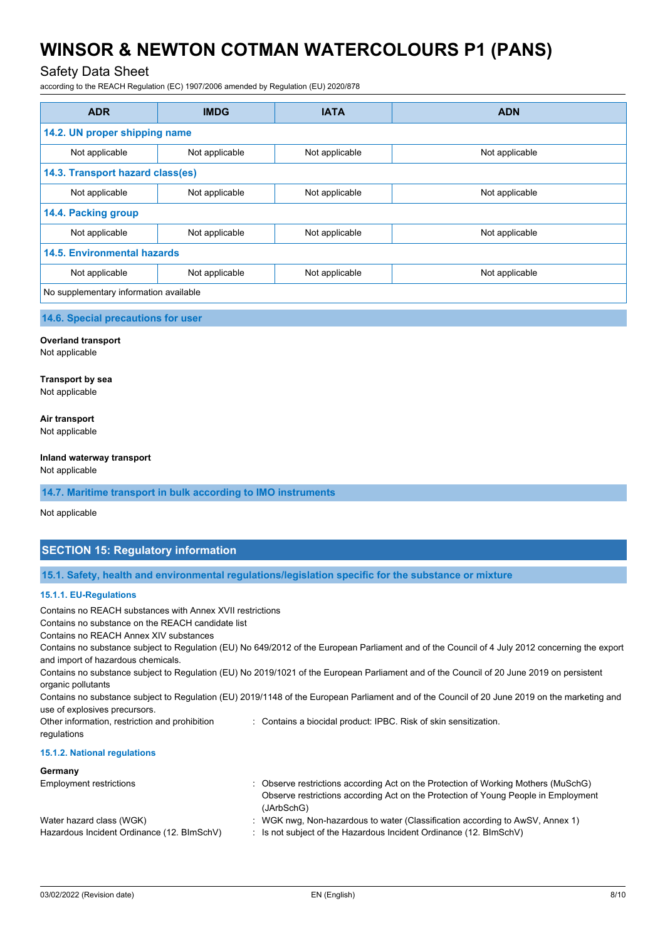## Safety Data Sheet

according to the REACH Regulation (EC) 1907/2006 amended by Regulation (EU) 2020/878

| <b>ADR</b>                             | <b>IMDG</b>                      | <b>IATA</b>    | <b>ADN</b>     |  |
|----------------------------------------|----------------------------------|----------------|----------------|--|
| 14.2. UN proper shipping name          |                                  |                |                |  |
| Not applicable                         | Not applicable                   | Not applicable | Not applicable |  |
|                                        | 14.3. Transport hazard class(es) |                |                |  |
| Not applicable                         | Not applicable                   | Not applicable | Not applicable |  |
| 14.4. Packing group                    |                                  |                |                |  |
| Not applicable                         | Not applicable                   | Not applicable | Not applicable |  |
| <b>14.5. Environmental hazards</b>     |                                  |                |                |  |
| Not applicable                         | Not applicable                   | Not applicable | Not applicable |  |
| No supplementary information available |                                  |                |                |  |

**14.6. Special precautions for user**

#### **Overland transport**

Not applicable

#### **Transport by sea**

Not applicable

#### **Air transport**

Not applicable

#### **Inland waterway transport**

Not applicable

#### **14.7. Maritime transport in bulk according to IMO instruments**

Not applicable

## **SECTION 15: Regulatory information**

**15.1. Safety, health and environmental regulations/legislation specific for the substance or mixture**

#### **15.1.1. EU-Regulations**

Contains no REACH substances with Annex XVII restrictions Contains no substance on the REACH candidate list

Contains no REACH Annex XIV substances

Contains no substance subject to Regulation (EU) No 649/2012 of the European Parliament and of the Council of 4 July 2012 concerning the export and import of hazardous chemicals.

Contains no substance subject to Regulation (EU) No 2019/1021 of the European Parliament and of the Council of 20 June 2019 on persistent organic pollutants

Contains no substance subject to Regulation (EU) 2019/1148 of the European Parliament and of the Council of 20 June 2019 on the marketing and use of explosives precursors.

Other information, restriction and prohibition

## regulations

## : Contains a biocidal product: IPBC. Risk of skin sensitization.

**15.1.2. National regulations**

### **Germany**

| Employment restrictions                    | : Observe restrictions according Act on the Protection of Working Mothers (MuSchG) |
|--------------------------------------------|------------------------------------------------------------------------------------|
|                                            | Observe restrictions according Act on the Protection of Young People in Employment |
|                                            | (JArbSchG)                                                                         |
| Water hazard class (WGK)                   | : WGK nwg, Non-hazardous to water (Classification according to AwSV, Annex 1)      |
| Hazardous Incident Ordinance (12. BImSchV) | : Is not subject of the Hazardous Incident Ordinance (12. BImSchV)                 |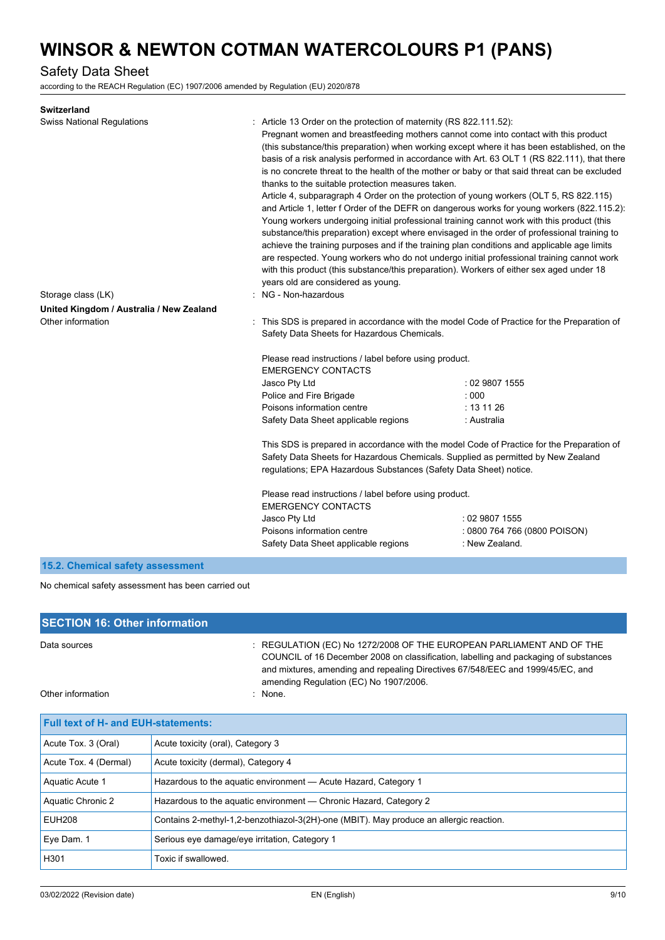## Safety Data Sheet

according to the REACH Regulation (EC) 1907/2006 amended by Regulation (EU) 2020/878

| <b>Switzerland</b>                                                       |                                                                                                                                                                                                                                                                                                                                                                                                                                                                                                                                                                                                                                                                                                                                                                                                                                                                                                                                                              |                                                                                                                                                                                                                                                                                            |  |
|--------------------------------------------------------------------------|--------------------------------------------------------------------------------------------------------------------------------------------------------------------------------------------------------------------------------------------------------------------------------------------------------------------------------------------------------------------------------------------------------------------------------------------------------------------------------------------------------------------------------------------------------------------------------------------------------------------------------------------------------------------------------------------------------------------------------------------------------------------------------------------------------------------------------------------------------------------------------------------------------------------------------------------------------------|--------------------------------------------------------------------------------------------------------------------------------------------------------------------------------------------------------------------------------------------------------------------------------------------|--|
| <b>Swiss National Regulations</b><br>Storage class (LK)                  | : Article 13 Order on the protection of maternity (RS 822.111.52):<br>Pregnant women and breastfeeding mothers cannot come into contact with this product<br>is no concrete threat to the health of the mother or baby or that said threat can be excluded<br>thanks to the suitable protection measures taken.<br>Article 4, subparagraph 4 Order on the protection of young workers (OLT 5, RS 822.115)<br>Young workers undergoing initial professional training cannot work with this product (this<br>substance/this preparation) except where envisaged in the order of professional training to<br>achieve the training purposes and if the training plan conditions and applicable age limits<br>are respected. Young workers who do not undergo initial professional training cannot work<br>with this product (this substance/this preparation). Workers of either sex aged under 18<br>years old are considered as young.<br>: NG - Non-hazardous | (this substance/this preparation) when working except where it has been established, on the<br>basis of a risk analysis performed in accordance with Art. 63 OLT 1 (RS 822.111), that there<br>and Article 1, letter f Order of the DEFR on dangerous works for young workers (822.115.2): |  |
| United Kingdom / Australia / New Zealand                                 |                                                                                                                                                                                                                                                                                                                                                                                                                                                                                                                                                                                                                                                                                                                                                                                                                                                                                                                                                              |                                                                                                                                                                                                                                                                                            |  |
| Other information                                                        | : This SDS is prepared in accordance with the model Code of Practice for the Preparation of<br>Safety Data Sheets for Hazardous Chemicals.                                                                                                                                                                                                                                                                                                                                                                                                                                                                                                                                                                                                                                                                                                                                                                                                                   |                                                                                                                                                                                                                                                                                            |  |
|                                                                          | Please read instructions / label before using product.<br><b>EMERGENCY CONTACTS</b><br>Jasco Pty Ltd                                                                                                                                                                                                                                                                                                                                                                                                                                                                                                                                                                                                                                                                                                                                                                                                                                                         | : 02 9807 1555                                                                                                                                                                                                                                                                             |  |
|                                                                          | Police and Fire Brigade                                                                                                                                                                                                                                                                                                                                                                                                                                                                                                                                                                                                                                                                                                                                                                                                                                                                                                                                      | : 000                                                                                                                                                                                                                                                                                      |  |
|                                                                          | Poisons information centre                                                                                                                                                                                                                                                                                                                                                                                                                                                                                                                                                                                                                                                                                                                                                                                                                                                                                                                                   | : 131126                                                                                                                                                                                                                                                                                   |  |
|                                                                          | Safety Data Sheet applicable regions                                                                                                                                                                                                                                                                                                                                                                                                                                                                                                                                                                                                                                                                                                                                                                                                                                                                                                                         | : Australia                                                                                                                                                                                                                                                                                |  |
|                                                                          | This SDS is prepared in accordance with the model Code of Practice for the Preparation of<br>Safety Data Sheets for Hazardous Chemicals. Supplied as permitted by New Zealand<br>regulations; EPA Hazardous Substances (Safety Data Sheet) notice.                                                                                                                                                                                                                                                                                                                                                                                                                                                                                                                                                                                                                                                                                                           |                                                                                                                                                                                                                                                                                            |  |
|                                                                          | Please read instructions / label before using product.<br><b>EMERGENCY CONTACTS</b>                                                                                                                                                                                                                                                                                                                                                                                                                                                                                                                                                                                                                                                                                                                                                                                                                                                                          |                                                                                                                                                                                                                                                                                            |  |
|                                                                          | Jasco Pty Ltd                                                                                                                                                                                                                                                                                                                                                                                                                                                                                                                                                                                                                                                                                                                                                                                                                                                                                                                                                | : 02 9807 1555                                                                                                                                                                                                                                                                             |  |
|                                                                          | Poisons information centre                                                                                                                                                                                                                                                                                                                                                                                                                                                                                                                                                                                                                                                                                                                                                                                                                                                                                                                                   | : 0800 764 766 (0800 POISON)                                                                                                                                                                                                                                                               |  |
|                                                                          | Safety Data Sheet applicable regions                                                                                                                                                                                                                                                                                                                                                                                                                                                                                                                                                                                                                                                                                                                                                                                                                                                                                                                         | : New Zealand.                                                                                                                                                                                                                                                                             |  |
| and the contract of the contract of<br><b>Contract Contract Contract</b> |                                                                                                                                                                                                                                                                                                                                                                                                                                                                                                                                                                                                                                                                                                                                                                                                                                                                                                                                                              |                                                                                                                                                                                                                                                                                            |  |

## **15.2. Chemical safety assessment**

No chemical safety assessment has been carried out

| <b>SECTION 16: Other information</b> |                                                                                                                                                                                                                                                                                                     |
|--------------------------------------|-----------------------------------------------------------------------------------------------------------------------------------------------------------------------------------------------------------------------------------------------------------------------------------------------------|
| Data sources                         | $\therefore$ REGULATION (EC) No 1272/2008 OF THE EUROPEAN PARLIAMENT AND OF THE<br>COUNCIL of 16 December 2008 on classification, labelling and packaging of substances<br>and mixtures, amending and repealing Directives 67/548/EEC and 1999/45/EC, and<br>amending Regulation (EC) No 1907/2006. |
| Other information                    | $\therefore$ None.                                                                                                                                                                                                                                                                                  |

| <b>Full text of H- and EUH-statements:</b> |                                                                                        |  |
|--------------------------------------------|----------------------------------------------------------------------------------------|--|
| Acute Tox. 3 (Oral)                        | Acute toxicity (oral), Category 3                                                      |  |
| Acute Tox. 4 (Dermal)                      | Acute toxicity (dermal), Category 4                                                    |  |
| Aquatic Acute 1                            | Hazardous to the aguatic environment - Acute Hazard, Category 1                        |  |
| Aquatic Chronic 2                          | Hazardous to the aquatic environment - Chronic Hazard, Category 2                      |  |
| <b>EUH208</b>                              | Contains 2-methyl-1,2-benzothiazol-3(2H)-one (MBIT). May produce an allergic reaction. |  |
| Eye Dam. 1                                 | Serious eye damage/eye irritation, Category 1                                          |  |
| H301                                       | Toxic if swallowed.                                                                    |  |